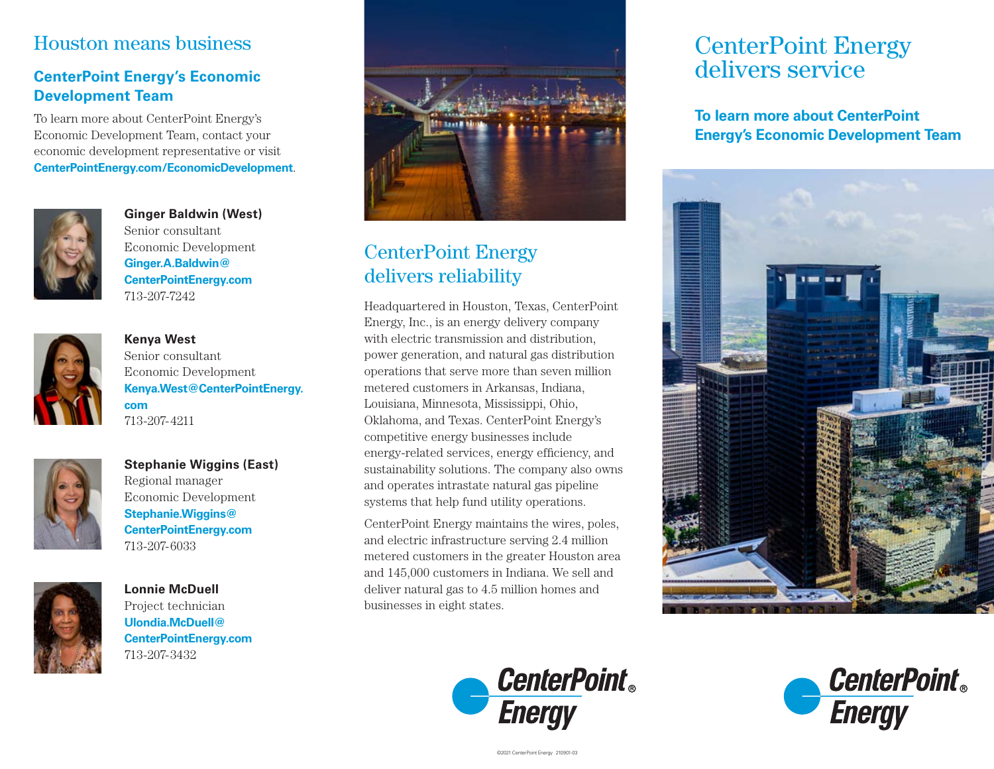### Houston means business

### **CenterPoint Energy's Economic Development Team**

To learn more about CenterPoint Energy's Economic Development Team, contact your economic development representative or visit **[CenterPointEnergy.com/EconomicDevelopment](http://CenterPointEnergy.com/EconomicDevelopment)**.



**Ginger Baldwin (West)** Senior consultant Economic Development **Ginger.A.Baldwin[@](mailto:Ginger.Bladwin%40CenterPointEnergy.com?subject=Information%20on%20CenterPoint%20Energy%27s%20Economic%20Development%20opportunities) [CenterPointEnergy.com](mailto:Ginger.Bladwin%40CenterPointEnergy.com?subject=Information%20on%20CenterPoint%20Energy%27s%20Economic%20Development%20opportunities)** 713-207-7242



**Kenya West** Senior consultant Economic Development **Kenya.Wes[t@CenterPointEnergy.](mailto:Kenya.West%40CenterPointEnergy.com?subject=Information%20on%20CenterPoint%20Energy%27s%20Economic%20Development%20opportunities) [com](mailto:Kenya.West%40CenterPointEnergy.com?subject=Information%20on%20CenterPoint%20Energy%27s%20Economic%20Development%20opportunities)** 713-207-4211



#### **Stephanie Wiggins (East)** Regional manager Economic Development **[Stephanie.Wiggins@](mailto:Stephanie.Wiggins%40CenterPointEnergy.com?subject=Information%20on%20CenterPoint%20Energy%27s%20Economic%20Development%20opportunities) [CenterPointEnergy.com](mailto:Stephanie.Wiggins%40CenterPointEnergy.com?subject=Information%20on%20CenterPoint%20Energy%27s%20Economic%20Development%20opportunities)** 713-207-6033



**Lonnie McDuell** Project technician **[Ulondia.McDuell@](mailto:Ulondia.Mcduell%40CenterPointEnergy.com?subject=Information%20on%20CenterPoint%20Energy%27s%20Economic%20Development%20opportunities) [CenterPointEnergy.com](mailto:Ulondia.Mcduell%40CenterPointEnergy.com?subject=Information%20on%20CenterPoint%20Energy%27s%20Economic%20Development%20opportunities)** 713-207-3432



# CenterPoint Energy delivers reliability

Headquartered in Houston, Texas, CenterPoint Energy, Inc., is an energy delivery company with electric transmission and distribution, power generation, and natural gas distribution operations that serve more than seven million metered customers in Arkansas, Indiana, Louisiana, Minnesota, Mississippi, Ohio, Oklahoma, and Texas. CenterPoint Energy's competitive energy businesses include energy-related services, energy efficiency, and sustainability solutions. The company also owns and operates intrastate natural gas pipeline systems that help fund utility operations.

CenterPoint Energy maintains the wires, poles, and electric infrastructure serving 2.4 million metered customers in the greater Houston area and 145,000 customers in Indiana. We sell and deliver natural gas to 4.5 million homes and businesses in eight states.



### **To learn more about CenterPoint Energy's Economic Development Team**







[©2021 CenterPoint Energy 210901-03](http://CenterPointEnergy.com/EconomicDevelopment)